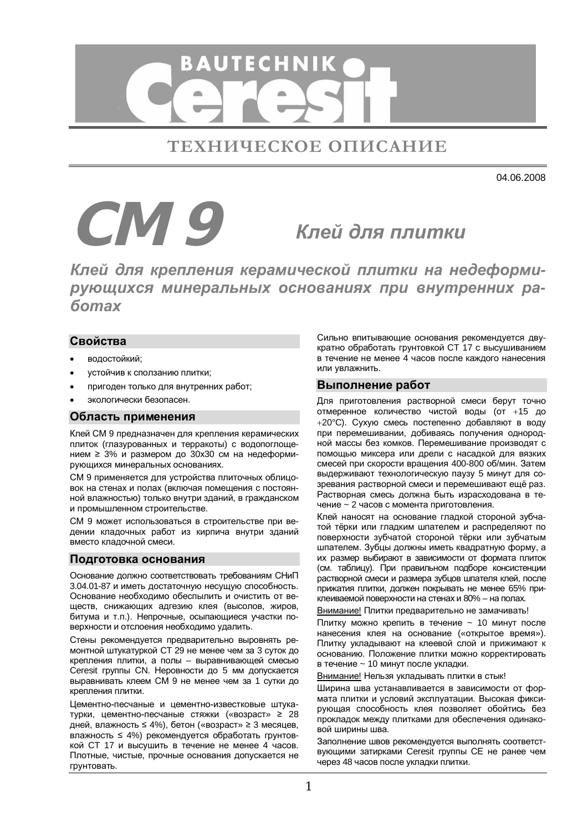

ТЕХНИЧЕСКОЕ ОПИСАНИЕ

04.06.2008

# **CM 9** Клей для плитки

Клей для крепления керамической плитки на недеформирующихся минеральных основаниях при внутренних ра- $6$ *omax* 

# **Свойства**

- водостойкий;
- устойчив к сползанию плитки;
- пригоден только для внутренних работ;
- экологически безопасен.

## Область применения

Клей СМ 9 предназначен для крепления керамических плиток (глазурованных и терракоты) с водопоглощением  $\geq$  3% и размером до 30х30 см на недеформирующихся минеральных основаниях.

СМ 9 применяется для устройства плиточных облицовок на стенах и полах (включая помещения с постоянной влажностью) только внутри зданий, в гражданском и промышленном строительстве.

СМ 9 может использоваться в строительстве при ведении кладочных работ из кирпича внутри зданий вместо кладочной смеси.

## Подготовка основания

Основание должно соответствовать требованиям СНиП 3.04.01-87 и иметь достаточную несущую способность. Основание необходимо обеспылить и очистить от веществ, снижающих адгезию клея (высолов, жиров, битума и т.п.). Непрочные, осыпающиеся участки поверхности и отслоения необходимо удалить.

Стены рекомендуется предварительно выровнять ремонтной штукатуркой СТ 29 не менее чем за 3 суток до крепления плитки, а полы - выравнивающей смесью Ceresit группы CN. Неровности до 5 мм допускается выравнивать клеем СМ 9 не менее чем за 1 сутки до крепления плитки.

Цементно-песчаные и цементно-известковые штукатурки, цементно-песчаные стяжки («возраст» ≥ 28 дней, влажность ≤ 4%), бетон («возраст» ≥ 3 месяцев, влажность ≤ 4%) рекомендуется обработать грунтовкой СТ 17 и высушить в течение не менее 4 часов. Плотные, чистые, прочные основания допускается не грунтовать.

Сильно впитывающие основания рекомендуется двукратно обработать грунтовкой СТ 17 с высушиванием в течение не менее 4 часов после каждого нанесения или увлажнить.

## **Выполнение работ**

Для приготовления растворной смеси берут точно отмеренное количество чистой воды (от +15 до +20°С). Сухую смесь постепенно добавляют в воду при перемешивании, добиваясь получения однородной массы без комков. Перемешивание производят с помощью миксера или дрели с насадкой для вязких смесей при скорости вращения 400-800 об/мин. Затем выдерживают технологическую паузу 5 минут для созревания растворной смеси и перемешивают ещё раз. • Растворная смесь должна быть израсходована в течение ~ 2 часов с момента приготовления.

Клей наносят на основание гладкой стороной зубчатой тёрки или гладким шпателем и распределяют по поверхности зубчатой стороной тёрки или зубчатым шпателем. Зубцы должны иметь квадратную форму, а их размер выбирают в зависимости от формата плиток (см. таблицу). При правильном подборе консистенции растворной смеси и размера зубцов шпателя клей, после прижатия плитки, должен покрывать не менее 65% приклеиваемой поверхности на стенах и 80% – на полах.

Внимание! Плитки предварительно не замачивать!

Плитку можно крепить в течение ~ 10 минут после нанесения клея на основание («открытое время»). Плитку укладывают на клеевой слой и прижимают к основанию. Положение плитки можно корректировать в течение ~ 10 минут после укладки.

Внимание! Нельзя укладывать плитки в стык!

Ширина шва устанавливается в зависимости от формата плитки и условий эксплуатации. Высокая фиксирующая способность клея позволяет обойтись без . .<br>прокладок между плитками для обеспечения одинаковой ширины шва.

Заполнение швов рекомендуется выполнять соответствующими затирками Ceresit группы СЕ не ранее чем через 48 часов после укладки плитки.